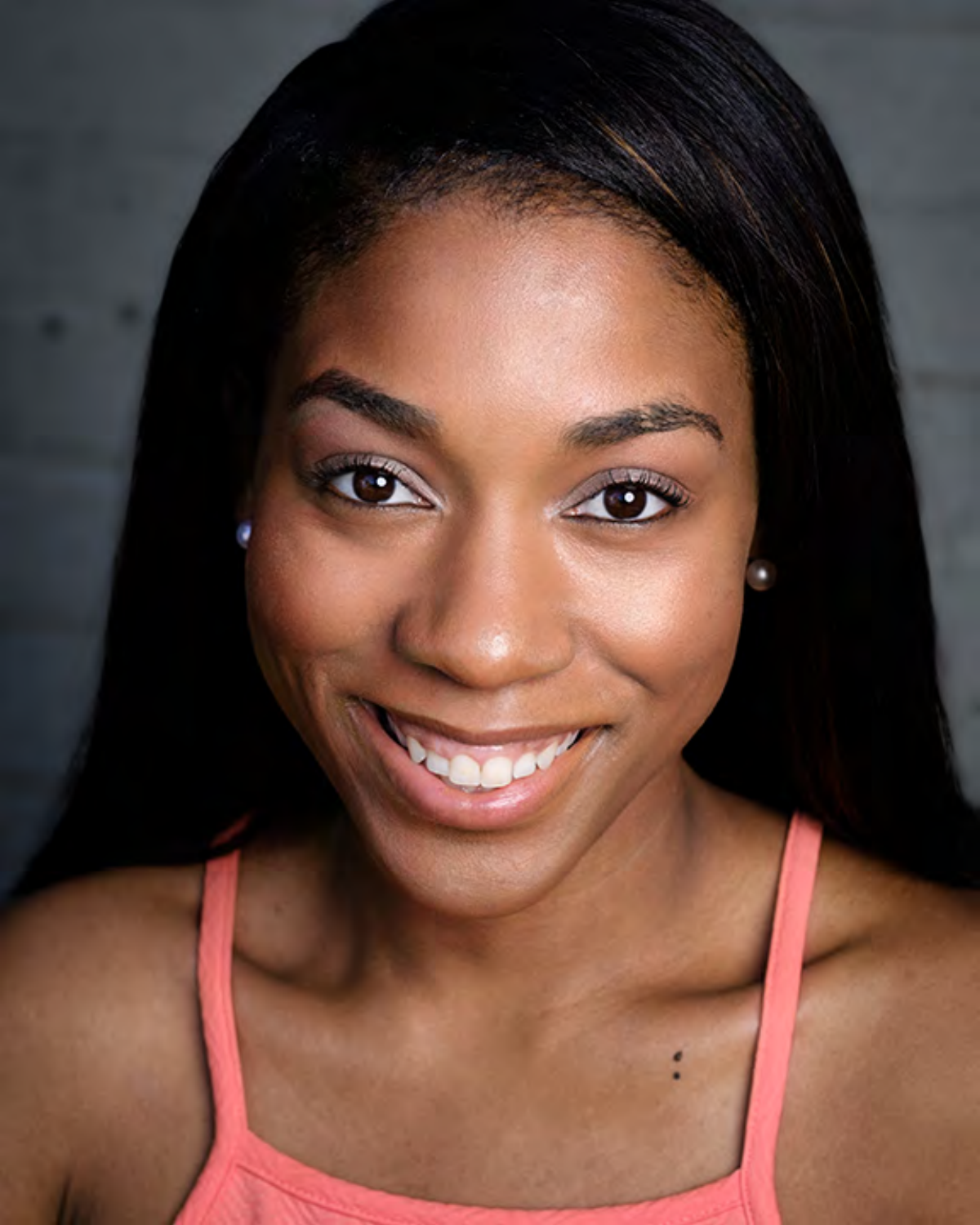